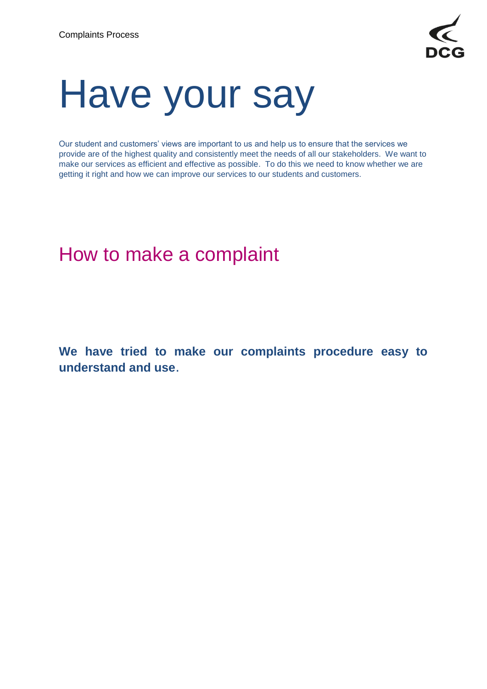

# Have your say

Our student and customers' views are important to us and help us to ensure that the services we provide are of the highest quality and consistently meet the needs of all our stakeholders. We want to make our services as efficient and effective as possible. To do this we need to know whether we are getting it right and how we can improve our services to our students and customers.

# How to make a complaint

**We have tried to make our complaints procedure easy to understand and use**.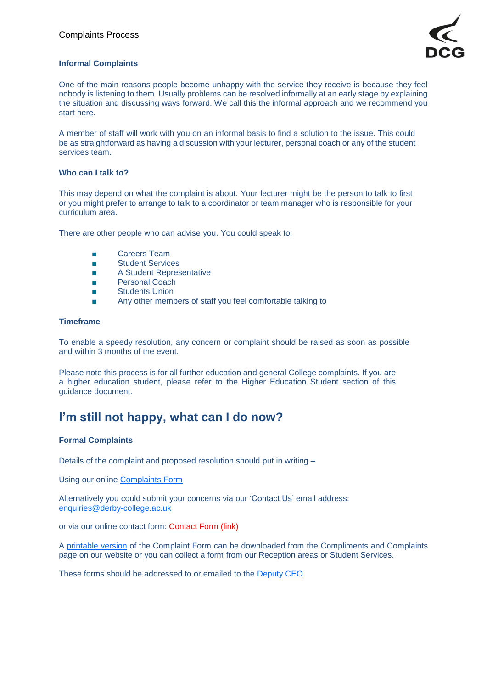

#### **Informal Complaints**

One of the main reasons people become unhappy with the service they receive is because they feel nobody is listening to them. Usually problems can be resolved informally at an early stage by explaining the situation and discussing ways forward. We call this the informal approach and we recommend you start here.

A member of staff will work with you on an informal basis to find a solution to the issue. This could be as straightforward as having a discussion with your lecturer, personal coach or any of the student services team.

#### **Who can I talk to?**

This may depend on what the complaint is about. Your lecturer might be the person to talk to first or you might prefer to arrange to talk to a coordinator or team manager who is responsible for your curriculum area.

There are other people who can advise you. You could speak to:

- Careers Team
- Student Services
- A Student Representative
- Personal Coach
- Students Union
- Any other members of staff you feel comfortable talking to

#### **Timeframe**

To enable a speedy resolution, any concern or complaint should be raised as soon as possible and within 3 months of the event.

Please note this process is for all further education and general College complaints. If you are a higher education student, please refer to the Higher Education Student section of this guidance document.

## **I'm still not happy, what can I do now?**

#### **Formal Complaints**

Details of the complaint and proposed resolution should put in writing –

Using our online [Complaints Form](https://www.derby-college.ac.uk/complaints-have-your-say)

Alternatively you could submit your concerns via our 'Contact Us' email address: [enquiries@derby-college.ac.uk](mailto:enquiries@derby-college.ac.uk)

or via our online contact form: [Contact Form](https://intouch.derby-college.ac.uk/Forms/Enquiry) (link)

A [printable version](https://www.derby-college.ac.uk/documents/complaints/Complaints-Form-printable.pdf) of the Complaint Form can be downloaded from the Compliments and Complaints page on our website or you can collect a form from our Reception areas or Student Services.

These forms should be addressed to or emailed to the [Deputy CEO.](mailto:Heather.Simcox@derby-college.ac.uk)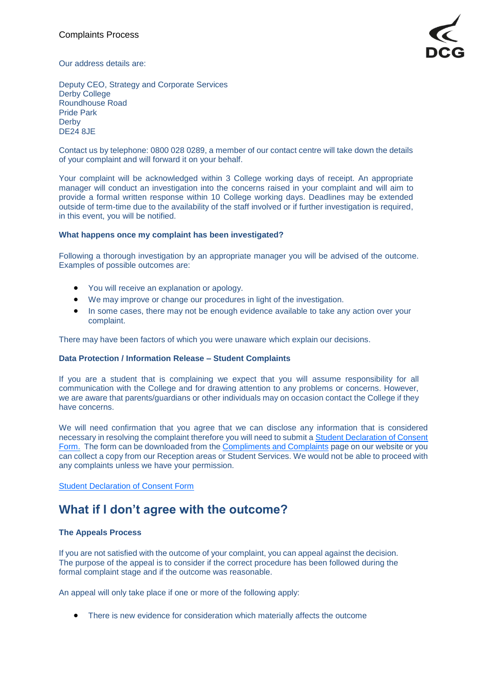

Our address details are:

Deputy CEO, Strategy and Corporate Services Derby College Roundhouse Road Pride Park **Derby** DE24 8JE

Contact us by telephone: 0800 028 0289, a member of our contact centre will take down the details of your complaint and will forward it on your behalf.

Your complaint will be acknowledged within 3 College working days of receipt. An appropriate manager will conduct an investigation into the concerns raised in your complaint and will aim to provide a formal written response within 10 College working days. Deadlines may be extended outside of term-time due to the availability of the staff involved or if further investigation is required, in this event, you will be notified.

#### **What happens once my complaint has been investigated?**

Following a thorough investigation by an appropriate manager you will be advised of the outcome. Examples of possible outcomes are:

- You will receive an explanation or apology.
- We may improve or change our procedures in light of the investigation.
- In some cases, there may not be enough evidence available to take any action over your complaint.

There may have been factors of which you were unaware which explain our decisions.

#### **Data Protection / Information Release – Student Complaints**

If you are a student that is complaining we expect that you will assume responsibility for all communication with the College and for drawing attention to any problems or concerns. However, we are aware that parents/guardians or other individuals may on occasion contact the College if they have concerns.

We will need confirmation that you agree that we can disclose any information that is considered necessary in resolving the complaint therefore you will need to submit [a Student Declaration of Consent](https://www.derby-college.ac.uk/documents/complaints/Complaints-Student-Declaration-of-Consent-Form.pdf)  [Form.](https://www.derby-college.ac.uk/documents/complaints/Complaints-Student-Declaration-of-Consent-Form.pdf) The form can be downloaded from the [Compliments and Complaints](https://www.derby-college.ac.uk/compliments-and-complaints) page on our website or you can collect a copy from our Reception areas or Student Services. We would not be able to proceed with any complaints unless we have your permission.

[Student Declaration of Consent Form](https://www.derby-college.ac.uk/documents/complaints/Complaints-Student-Declaration-of-Consent-Form.pdf)

## **What if I don't agree with the outcome?**

#### **The Appeals Process**

If you are not satisfied with the outcome of your complaint, you can appeal against the decision. The purpose of the appeal is to consider if the correct procedure has been followed during the formal complaint stage and if the outcome was reasonable.

An appeal will only take place if one or more of the following apply:

• There is new evidence for consideration which materially affects the outcome